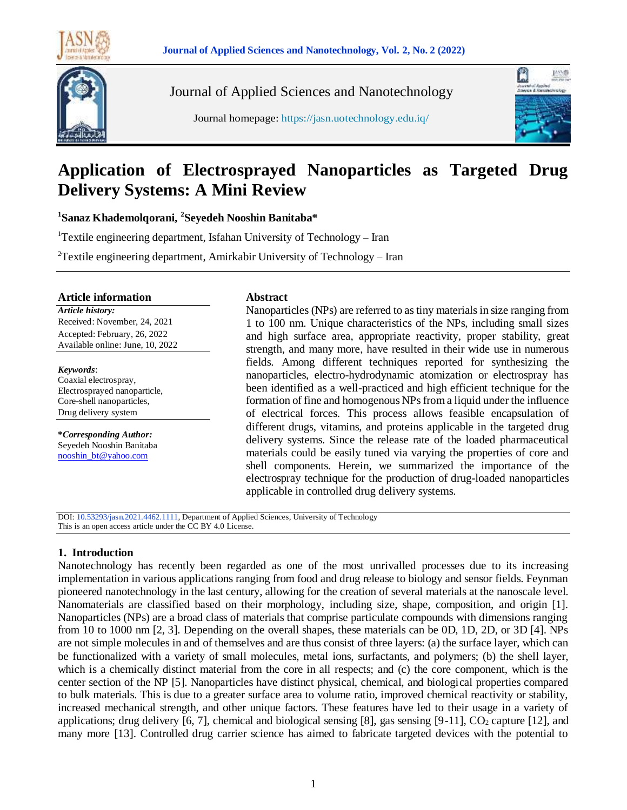

Journal of Applied Sciences and Nanotechnology

Journal homepage: https://jasn.uotechnology.edu.iq/



# **Application of Electrosprayed Nanoparticles as Targeted Drug Delivery Systems: A Mini Review**

**1 Sanaz Khademolqorani, <sup>2</sup> Seyedeh Nooshin Banitaba\***

<sup>1</sup>Textile engineering department, Isfahan University of Technology – Iran

<sup>2</sup>Textile engineering department, Amirkabir University of Technology – Iran

#### **Article information**

*Article history:* Received: November, 24, 2021 Accepted: February, 26, 2022 Available online: June, 10, 2022

#### *Keywords*:

Coaxial electrospray, Electrosprayed nanoparticle, Core-shell nanoparticles, Drug delivery system

**\****Corresponding Author:* Seyedeh Nooshin Banitaba [nooshin\\_bt@yahoo.com](mailto:nooshin_bt@yahoo.com)

#### **Abstract**

Nanoparticles (NPs) are referred to as tiny materials in size ranging from 1 to 100 nm. Unique characteristics of the NPs, including small sizes and high surface area, appropriate reactivity, proper stability, great strength, and many more, have resulted in their wide use in numerous fields. Among different techniques reported for synthesizing the nanoparticles, electro-hydrodynamic atomization or electrospray has been identified as a well-practiced and high efficient technique for the formation of fine and homogenous NPs from a liquid under the influence of electrical forces. This process allows feasible encapsulation of different drugs, vitamins, and proteins applicable in the targeted drug delivery systems. Since the release rate of the loaded pharmaceutical materials could be easily tuned via varying the properties of core and shell components. Herein, we summarized the importance of the electrospray technique for the production of drug-loaded nanoparticles applicable in controlled drug delivery systems.

DOI: 10.53293/jasn.2021.4462.1111, Department of Applied Sciences, University of Technology This is an open access article under the CC BY 4.0 License.

## **1. Introduction**

Nanotechnology has recently been regarded as one of the most unrivalled processes due to its increasing implementation in various applications ranging from food and drug release to biology and sensor fields. Feynman pioneered nanotechnology in the last century, allowing for the creation of several materials at the nanoscale level. Nanomaterials are classified based on their morphology, including size, shape, composition, and origin [1]. Nanoparticles (NPs) are a broad class of materials that comprise particulate compounds with dimensions ranging from 10 to 1000 nm [2, 3]. Depending on the overall shapes, these materials can be 0D, 1D, 2D, or 3D [4]. NPs are not simple molecules in and of themselves and are thus consist of three layers: (a) the surface layer, which can be functionalized with a variety of small molecules, metal ions, surfactants, and polymers; (b) the shell layer, which is a chemically distinct material from the core in all respects; and (c) the core component, which is the center section of the NP [5]. Nanoparticles have distinct physical, chemical, and biological properties compared to bulk materials. This is due to a greater surface area to volume ratio, improved chemical reactivity or stability, increased mechanical strength, and other unique factors. These features have led to their usage in a variety of applications; drug delivery [6, 7], chemical and biological sensing [8], gas sensing  $[9-11]$ ,  $CO<sub>2</sub>$  capture [12], and many more [13]. Controlled drug carrier science has aimed to fabricate targeted devices with the potential to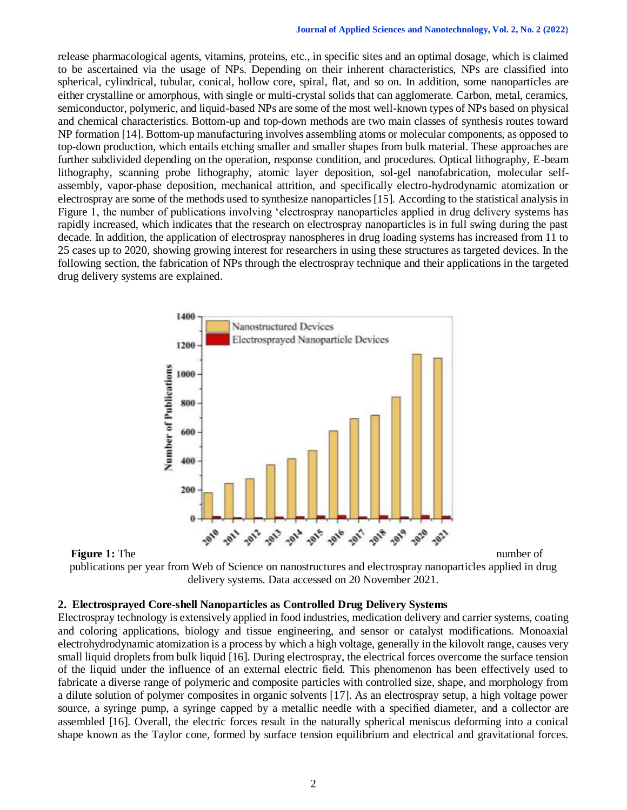release pharmacological agents, vitamins, proteins, etc., in specific sites and an optimal dosage, which is claimed to be ascertained via the usage of NPs. Depending on their inherent characteristics, NPs are classified into spherical, cylindrical, tubular, conical, hollow core, spiral, flat, and so on. In addition, some nanoparticles are either crystalline or amorphous, with single or multi-crystal solids that can agglomerate. Carbon, metal, ceramics, semiconductor, polymeric, and liquid-based NPs are some of the most well-known types of NPs based on physical and chemical characteristics. Bottom-up and top-down methods are two main classes of synthesis routes toward NP formation [14]. Bottom-up manufacturing involves assembling atoms or molecular components, as opposed to top-down production, which entails etching smaller and smaller shapes from bulk material. These approaches are further subdivided depending on the operation, response condition, and procedures. Optical lithography, E-beam lithography, scanning probe lithography, atomic layer deposition, sol-gel nanofabrication, molecular selfassembly, vapor-phase deposition, mechanical attrition, and specifically electro-hydrodynamic atomization or electrospray are some of the methods used to synthesize nanoparticles [15]. According to the statistical analysis in Figure 1, the number of publications involving 'electrospray nanoparticles applied in drug delivery systems has rapidly increased, which indicates that the research on electrospray nanoparticles is in full swing during the past decade. In addition, the application of electrospray nanospheres in drug loading systems has increased from 11 to 25 cases up to 2020, showing growing interest for researchers in using these structures as targeted devices. In the following section, the fabrication of NPs through the electrospray technique and their applications in the targeted drug delivery systems are explained.





publications per year from Web of Science on nanostructures and electrospray nanoparticles applied in drug delivery systems. Data accessed on 20 November 2021.

#### **2. Electrosprayed Core-shell Nanoparticles as Controlled Drug Delivery Systems**

Electrospray technology is extensively applied in food industries, medication delivery and carrier systems, coating and coloring applications, biology and tissue engineering, and sensor or catalyst modifications. Monoaxial electrohydrodynamic atomization is a process by which a high voltage, generally in the kilovolt range, causes very small liquid droplets from bulk liquid [16]. During electrospray, the electrical forces overcome the surface tension of the liquid under the influence of an external electric field. This phenomenon has been effectively used to fabricate a diverse range of polymeric and composite particles with controlled size, shape, and morphology from a dilute solution of polymer composites in organic solvents [17]. As an electrospray setup, a high voltage power source, a syringe pump, a syringe capped by a metallic needle with a specified diameter, and a collector are assembled [16]. Overall, the electric forces result in the naturally spherical meniscus deforming into a conical shape known as the Taylor cone, formed by surface tension equilibrium and electrical and gravitational forces.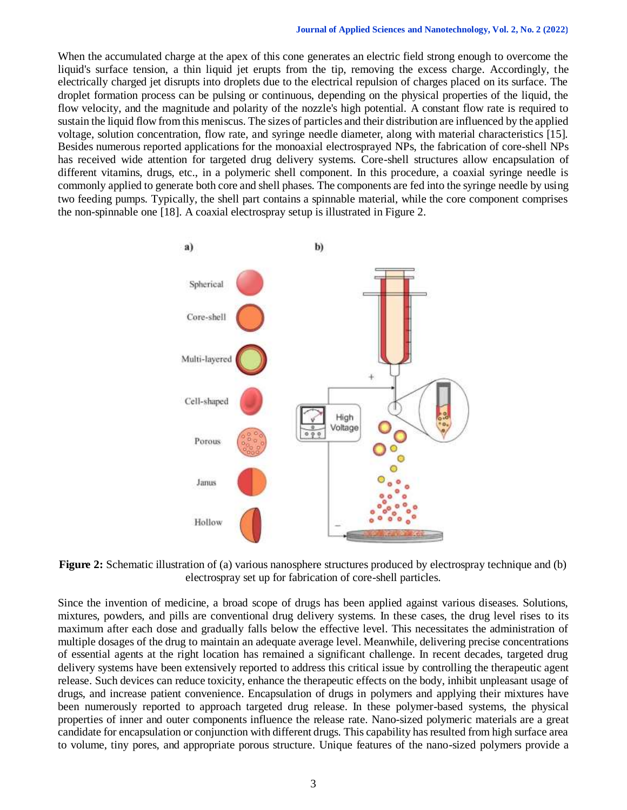When the accumulated charge at the apex of this cone generates an electric field strong enough to overcome the liquid's surface tension, a thin liquid jet erupts from the tip, removing the excess charge. Accordingly, the electrically charged jet disrupts into droplets due to the electrical repulsion of charges placed on its surface. The droplet formation process can be pulsing or continuous, depending on the physical properties of the liquid, the flow velocity, and the magnitude and polarity of the nozzle's high potential. A constant flow rate is required to sustain the liquid flow from this meniscus. The sizes of particles and their distribution are influenced by the applied voltage, solution concentration, flow rate, and syringe needle diameter, along with material characteristics [15]. Besides numerous reported applications for the monoaxial electrosprayed NPs, the fabrication of core-shell NPs has received wide attention for targeted drug delivery systems. Core-shell structures allow encapsulation of different vitamins, drugs, etc., in a polymeric shell component. In this procedure, a coaxial syringe needle is commonly applied to generate both core and shell phases. The components are fed into the syringe needle by using two feeding pumps. Typically, the shell part contains a spinnable material, while the core component comprises the non-spinnable one [18]. A coaxial electrospray setup is illustrated in Figure 2.



**Figure 2:** Schematic illustration of (a) various nanosphere structures produced by electrospray technique and (b) electrospray set up for fabrication of core-shell particles.

Since the invention of medicine, a broad scope of drugs has been applied against various diseases. Solutions, mixtures, powders, and pills are conventional drug delivery systems. In these cases, the drug level rises to its maximum after each dose and gradually falls below the effective level. This necessitates the administration of multiple dosages of the drug to maintain an adequate average level. Meanwhile, delivering precise concentrations of essential agents at the right location has remained a significant challenge. In recent decades, targeted drug delivery systems have been extensively reported to address this critical issue by controlling the therapeutic agent release. Such devices can reduce toxicity, enhance the therapeutic effects on the body, inhibit unpleasant usage of drugs, and increase patient convenience. Encapsulation of drugs in polymers and applying their mixtures have been numerously reported to approach targeted drug release. In these polymer-based systems, the physical properties of inner and outer components influence the release rate. Nano-sized polymeric materials are a great candidate for encapsulation or conjunction with different drugs. This capability has resulted from high surface area to volume, tiny pores, and appropriate porous structure. Unique features of the nano-sized polymers provide a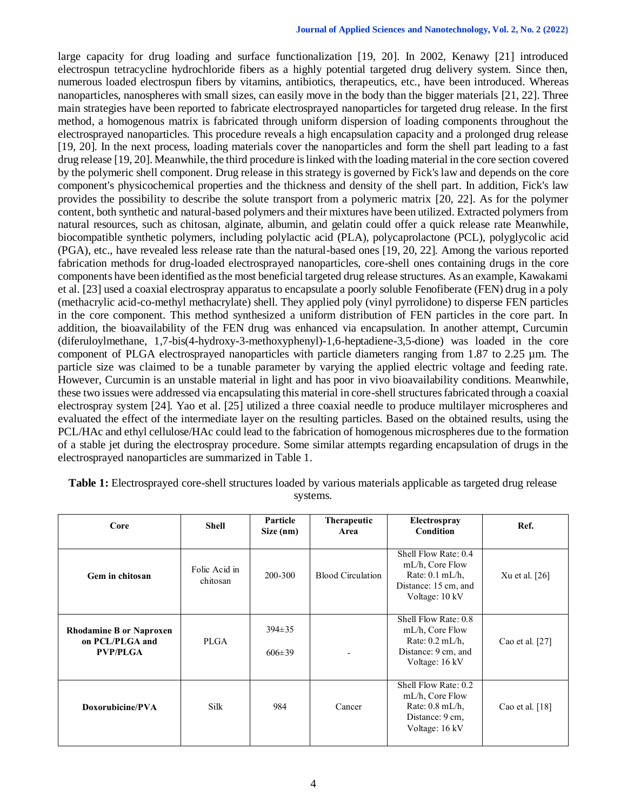large capacity for drug loading and surface functionalization [19, 20]. In 2002, Kenawy [21] introduced electrospun tetracycline hydrochloride fibers as a highly potential targeted drug delivery system. Since then, numerous loaded electrospun fibers by vitamins, antibiotics, therapeutics, etc., have been introduced. Whereas nanoparticles, nanospheres with small sizes, can easily move in the body than the bigger materials [21, 22]. Three main strategies have been reported to fabricate electrosprayed nanoparticles for targeted drug release. In the first method, a homogenous matrix is fabricated through uniform dispersion of loading components throughout the electrosprayed nanoparticles. This procedure reveals a high encapsulation capacity and a prolonged drug release [19, 20]. In the next process, loading materials cover the nanoparticles and form the shell part leading to a fast drug release [19, 20]. Meanwhile, the third procedure is linked with the loading material in the core section covered by the polymeric shell component. Drug release in this strategy is governed by Fick's law and depends on the core component's physicochemical properties and the thickness and density of the shell part. In addition, Fick's law provides the possibility to describe the solute transport from a polymeric matrix [20, 22]. As for the polymer content, both synthetic and natural-based polymers and their mixtures have been utilized. Extracted polymers from natural resources, such as chitosan, alginate, albumin, and gelatin could offer a quick release rate Meanwhile, biocompatible synthetic polymers, including polylactic acid (PLA), polycaprolactone (PCL), polyglycolic acid (PGA), etc., have revealed less release rate than the natural-based ones [19, 20, 22]. Among the various reported fabrication methods for drug-loaded electrosprayed nanoparticles, core-shell ones containing drugs in the core components have been identified as the most beneficial targeted drug release structures. As an example, Kawakami et al. [23] used a coaxial electrospray apparatus to encapsulate a poorly soluble Fenofiberate (FEN) drug in a poly (methacrylic acid-co-methyl methacrylate) shell. They applied poly (vinyl pyrrolidone) to disperse FEN particles in the core component. This method synthesized a uniform distribution of FEN particles in the core part. In addition, the bioavailability of the FEN drug was enhanced via encapsulation. In another attempt, Curcumin (diferuloylmethane, 1,7-bis(4-hydroxy-3-methoxyphenyl)-1,6-heptadiene-3,5-dione) was loaded in the core component of PLGA electrosprayed nanoparticles with particle diameters ranging from  $1.87$  to  $2.25 \mu m$ . The particle size was claimed to be a tunable parameter by varying the applied electric voltage and feeding rate. However, Curcumin is an unstable material in light and has poor in vivo bioavailability conditions. Meanwhile, these two issues were addressed via encapsulating this material in core-shell structures fabricated through a coaxial electrospray system [24]. Yao et al. [25] utilized a three coaxial needle to produce multilayer microspheres and evaluated the effect of the intermediate layer on the resulting particles. Based on the obtained results, using the PCL/HAc and ethyl cellulose/HAc could lead to the fabrication of homogenous microspheres due to the formation of a stable jet during the electrospray procedure. Some similar attempts regarding encapsulation of drugs in the electrosprayed nanoparticles are summarized in Table 1.

| Core                                                                 | Shell                     | Particle<br>Size (nm)        | Therapeutic<br>Area      | Electrospray<br>Condition                                                                              | Ref.              |
|----------------------------------------------------------------------|---------------------------|------------------------------|--------------------------|--------------------------------------------------------------------------------------------------------|-------------------|
| Gem in chitosan                                                      | Folic Acid in<br>chitosan | 200-300                      | <b>Blood Circulation</b> | Shell Flow Rate: 0.4<br>mL/h, Core Flow<br>Rate: $0.1$ mL/h,<br>Distance: 15 cm, and<br>Voltage: 10 kV | Xu et al. $[26]$  |
| <b>Rhodamine B or Naproxen</b><br>on PCL/PLGA and<br><b>PVP/PLGA</b> | PLGA                      | $394 \pm 35$<br>$606 \pm 39$ |                          | Shell Flow Rate: 0.8<br>mL/h, Core Flow<br>Rate: $0.2$ mL/h,<br>Distance: 9 cm, and<br>Voltage: 16 kV  | Cao et al. $[27]$ |
| Doxorubicine/PVA                                                     | Silk                      | 984                          | Cancer                   | Shell Flow Rate: 0.2<br>mL/h, Core Flow<br>Rate: $0.8$ mL/h,<br>Distance: 9 cm,<br>Voltage: 16 kV      | Cao et al. $[18]$ |

**Table 1:** Electrosprayed core-shell structures loaded by various materials applicable as targeted drug release systems.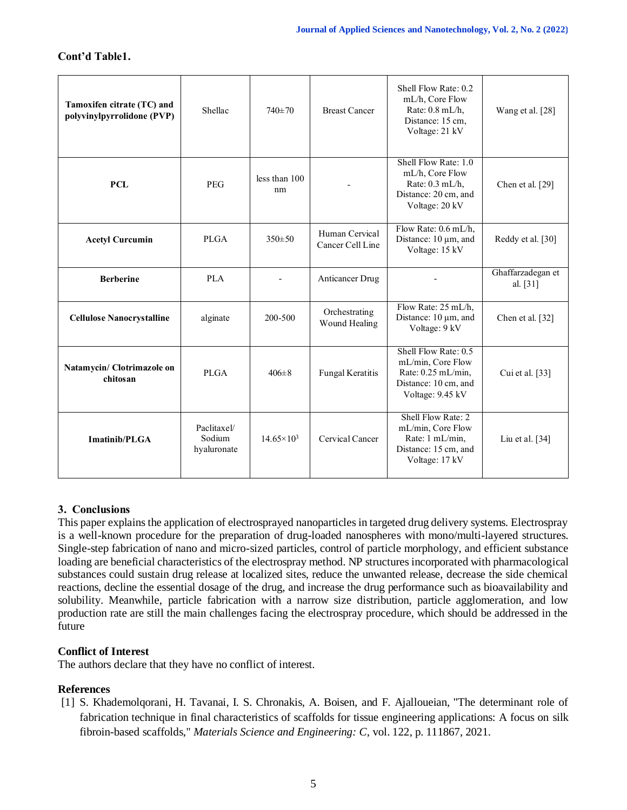# **Cont'd Table1.**

| Tamoxifen citrate (TC) and<br>polyvinylpyrrolidone (PVP) | Shellac                              | $740\pm70$          | <b>Breast Cancer</b>               | Shell Flow Rate: 0.2<br>mL/h, Core Flow<br>Rate: 0.8 mL/h,<br>Distance: 15 cm,<br>Voltage: 21 kV              | Wang et al. [28]              |
|----------------------------------------------------------|--------------------------------------|---------------------|------------------------------------|---------------------------------------------------------------------------------------------------------------|-------------------------------|
| PCL                                                      | <b>PEG</b>                           | less than 100<br>nm |                                    | Shell Flow Rate: 1.0<br>mL/h, Core Flow<br>Rate: $0.3$ mL/h,<br>Distance: 20 cm, and<br>Voltage: 20 kV        | Chen et al. [29]              |
| <b>Acetyl Curcumin</b>                                   | <b>PLGA</b>                          | $350 \pm 50$        | Human Cervical<br>Cancer Cell Line | Flow Rate: 0.6 mL/h,<br>Distance: 10 µm, and<br>Voltage: 15 kV                                                | Reddy et al. [30]             |
| <b>Berberine</b>                                         | <b>PLA</b>                           |                     | Anticancer Drug                    |                                                                                                               | Ghaffarzadegan et<br>al. [31] |
| <b>Cellulose Nanocrystalline</b>                         | alginate                             | 200-500             | Orchestrating<br>Wound Healing     | Flow Rate: 25 mL/h,<br>Distance: 10 µm, and<br>Voltage: 9 kV                                                  | Chen et al. $[32]$            |
| Natamycin/ Clotrimazole on<br>chitosan                   | <b>PLGA</b>                          | $406 \pm 8$         | Fungal Keratitis                   | Shell Flow Rate: 0.5<br>mL/min, Core Flow<br>Rate: $0.25$ mL/min.<br>Distance: 10 cm, and<br>Voltage: 9.45 kV | Cui et al. $[33]$             |
| Imatinib/PLGA                                            | Paclitaxel/<br>Sodium<br>hyaluronate | $14.65 \times 10^3$ | Cervical Cancer                    | Shell Flow Rate: 2<br>mL/min, Core Flow<br>Rate: 1 mL/min.<br>Distance: 15 cm, and<br>Voltage: 17 kV          | Liu et al. $[34]$             |

# **3. Conclusions**

This paper explains the application of electrosprayed nanoparticles in targeted drug delivery systems. Electrospray is a well-known procedure for the preparation of drug-loaded nanospheres with mono/multi-layered structures. Single-step fabrication of nano and micro-sized particles, control of particle morphology, and efficient substance loading are beneficial characteristics of the electrospray method. NP structures incorporated with pharmacological substances could sustain drug release at localized sites, reduce the unwanted release, decrease the side chemical reactions, decline the essential dosage of the drug, and increase the drug performance such as bioavailability and solubility. Meanwhile, particle fabrication with a narrow size distribution, particle agglomeration, and low production rate are still the main challenges facing the electrospray procedure, which should be addressed in the future

## **Conflict of Interest**

The authors declare that they have no conflict of interest.

## **References**

[1] S. Khademolqorani, H. Tavanai, I. S. Chronakis, A. Boisen, and F. Ajalloueian, "The determinant role of fabrication technique in final characteristics of scaffolds for tissue engineering applications: A focus on silk fibroin-based scaffolds," *Materials Science and Engineering: C*, vol. 122, p. 111867, 2021.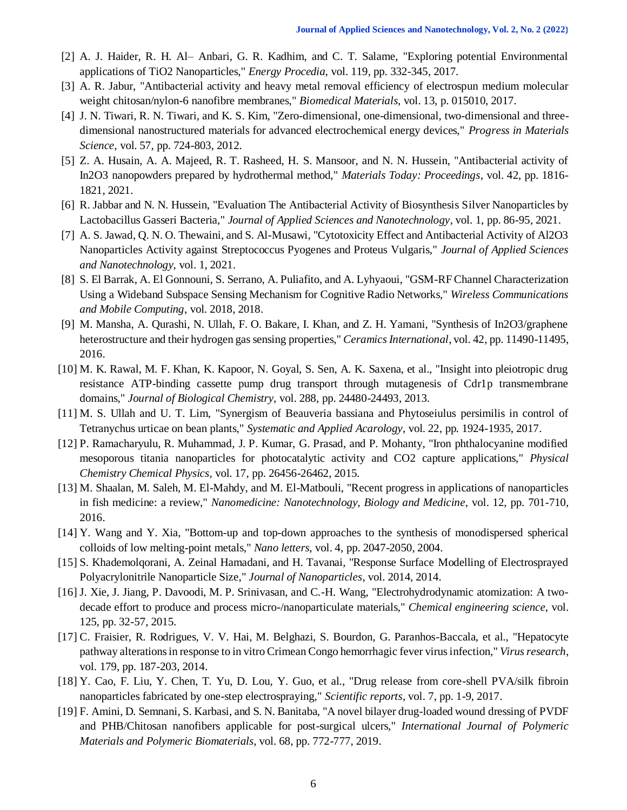- [2] A. J. Haider, R. H. Al– Anbari, G. R. Kadhim, and C. T. Salame, "Exploring potential Environmental applications of TiO2 Nanoparticles," *Energy Procedia*, vol. 119, pp. 332-345, 2017.
- [3] A. R. Jabur, "Antibacterial activity and heavy metal removal efficiency of electrospun medium molecular weight chitosan/nylon-6 nanofibre membranes," *Biomedical Materials*, vol. 13, p. 015010, 2017.
- [4] J. N. Tiwari, R. N. Tiwari, and K. S. Kim, "Zero-dimensional, one-dimensional, two-dimensional and threedimensional nanostructured materials for advanced electrochemical energy devices," *Progress in Materials Science*, vol. 57, pp. 724-803, 2012.
- [5] Z. A. Husain, A. A. Majeed, R. T. Rasheed, H. S. Mansoor, and N. N. Hussein, "Antibacterial activity of In2O3 nanopowders prepared by hydrothermal method," *Materials Today: Proceedings*, vol. 42, pp. 1816- 1821, 2021.
- [6] R. Jabbar and N. N. Hussein, "Evaluation The Antibacterial Activity of Biosynthesis Silver Nanoparticles by Lactobacillus Gasseri Bacteria," *Journal of Applied Sciences and Nanotechnology*, vol. 1, pp. 86-95, 2021.
- [7] A. S. Jawad, Q. N. O. Thewaini, and S. Al-Musawi, "Cytotoxicity Effect and Antibacterial Activity of Al2O3 Nanoparticles Activity against Streptococcus Pyogenes and Proteus Vulgaris," *Journal of Applied Sciences and Nanotechnology*, vol. 1, 2021.
- [8] S. El Barrak, A. El Gonnouni, S. Serrano, A. Puliafito, and A. Lyhyaoui, "GSM-RF Channel Characterization Using a Wideband Subspace Sensing Mechanism for Cognitive Radio Networks," *Wireless Communications and Mobile Computing*, vol. 2018, 2018.
- [9] M. Mansha, A. Qurashi, N. Ullah, F. O. Bakare, I. Khan, and Z. H. Yamani, "Synthesis of In2O3/graphene heterostructure and their hydrogen gas sensing properties," *Ceramics International*, vol. 42, pp. 11490-11495, 2016.
- [10] M. K. Rawal, M. F. Khan, K. Kapoor, N. Goyal, S. Sen, A. K. Saxena, et al., "Insight into pleiotropic drug resistance ATP-binding cassette pump drug transport through mutagenesis of Cdr1p transmembrane domains," *Journal of Biological Chemistry*, vol. 288, pp. 24480-24493, 2013.
- [11] M. S. Ullah and U. T. Lim, "Synergism of Beauveria bassiana and Phytoseiulus persimilis in control of Tetranychus urticae on bean plants," *Systematic and Applied Acarology*, vol. 22, pp. 1924-1935, 2017.
- [12] P. Ramacharyulu, R. Muhammad, J. P. Kumar, G. Prasad, and P. Mohanty, "Iron phthalocyanine modified mesoporous titania nanoparticles for photocatalytic activity and CO2 capture applications," *Physical Chemistry Chemical Physics*, vol. 17, pp. 26456-26462, 2015.
- [13] M. Shaalan, M. Saleh, M. El-Mahdy, and M. El-Matbouli, "Recent progress in applications of nanoparticles in fish medicine: a review," *Nanomedicine: Nanotechnology, Biology and Medicine*, vol. 12, pp. 701-710, 2016.
- [14] Y. Wang and Y. Xia, "Bottom-up and top-down approaches to the synthesis of monodispersed spherical colloids of low melting-point metals," *Nano letters*, vol. 4, pp. 2047-2050, 2004.
- [15] S. Khademolqorani, A. Zeinal Hamadani, and H. Tavanai, "Response Surface Modelling of Electrosprayed Polyacrylonitrile Nanoparticle Size," *Journal of Nanoparticles*, vol. 2014, 2014.
- [16] J. Xie, J. Jiang, P. Davoodi, M. P. Srinivasan, and C.-H. Wang, "Electrohydrodynamic atomization: A twodecade effort to produce and process micro-/nanoparticulate materials," *Chemical engineering science*, vol. 125, pp. 32-57, 2015.
- [17] C. Fraisier, R. Rodrigues, V. V. Hai, M. Belghazi, S. Bourdon, G. Paranhos-Baccala, et al., "Hepatocyte pathway alterations in response to in vitro Crimean Congo hemorrhagic fever virus infection," *Virus research*, vol. 179, pp. 187-203, 2014.
- [18] Y. Cao, F. Liu, Y. Chen, T. Yu, D. Lou, Y. Guo, et al., "Drug release from core-shell PVA/silk fibroin nanoparticles fabricated by one-step electrospraying," *Scientific reports*, vol. 7, pp. 1-9, 2017.
- [19] F. Amini, D. Semnani, S. Karbasi, and S. N. Banitaba, "A novel bilayer drug-loaded wound dressing of PVDF and PHB/Chitosan nanofibers applicable for post-surgical ulcers," *International Journal of Polymeric Materials and Polymeric Biomaterials*, vol. 68, pp. 772-777, 2019.